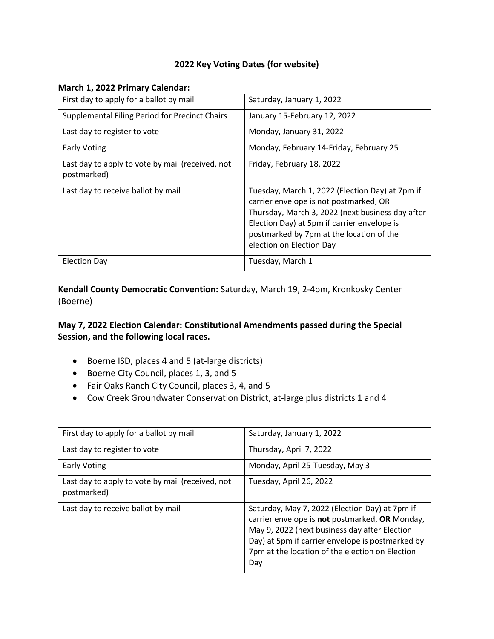## **2022 Key Voting Dates (for website)**

#### **March 1, 2022 Primary Calendar:**

| First day to apply for a ballot by mail                         | Saturday, January 1, 2022                                                                                                                                                                                                                                            |
|-----------------------------------------------------------------|----------------------------------------------------------------------------------------------------------------------------------------------------------------------------------------------------------------------------------------------------------------------|
| Supplemental Filing Period for Precinct Chairs                  | January 15-February 12, 2022                                                                                                                                                                                                                                         |
| Last day to register to vote                                    | Monday, January 31, 2022                                                                                                                                                                                                                                             |
| <b>Early Voting</b>                                             | Monday, February 14-Friday, February 25                                                                                                                                                                                                                              |
| Last day to apply to vote by mail (received, not<br>postmarked) | Friday, February 18, 2022                                                                                                                                                                                                                                            |
| Last day to receive ballot by mail                              | Tuesday, March 1, 2022 (Election Day) at 7pm if<br>carrier envelope is not postmarked, OR<br>Thursday, March 3, 2022 (next business day after<br>Election Day) at 5pm if carrier envelope is<br>postmarked by 7pm at the location of the<br>election on Election Day |
| <b>Election Day</b>                                             | Tuesday, March 1                                                                                                                                                                                                                                                     |

**Kendall County Democratic Convention:** Saturday, March 19, 2-4pm, Kronkosky Center (Boerne)

## **May 7, 2022 Election Calendar: Constitutional Amendments passed during the Special Session, and the following local races.**

- Boerne ISD, places 4 and 5 (at-large districts)
- Boerne City Council, places 1, 3, and 5
- Fair Oaks Ranch City Council, places 3, 4, and 5
- Cow Creek Groundwater Conservation District, at-large plus districts 1 and 4

| First day to apply for a ballot by mail                         | Saturday, January 1, 2022                                                                                                                                                                                                                                       |
|-----------------------------------------------------------------|-----------------------------------------------------------------------------------------------------------------------------------------------------------------------------------------------------------------------------------------------------------------|
| Last day to register to vote                                    | Thursday, April 7, 2022                                                                                                                                                                                                                                         |
| <b>Early Voting</b>                                             | Monday, April 25-Tuesday, May 3                                                                                                                                                                                                                                 |
| Last day to apply to vote by mail (received, not<br>postmarked) | Tuesday, April 26, 2022                                                                                                                                                                                                                                         |
| Last day to receive ballot by mail                              | Saturday, May 7, 2022 (Election Day) at 7pm if<br>carrier envelope is not postmarked, OR Monday,<br>May 9, 2022 (next business day after Election<br>Day) at 5pm if carrier envelope is postmarked by<br>7pm at the location of the election on Election<br>Day |